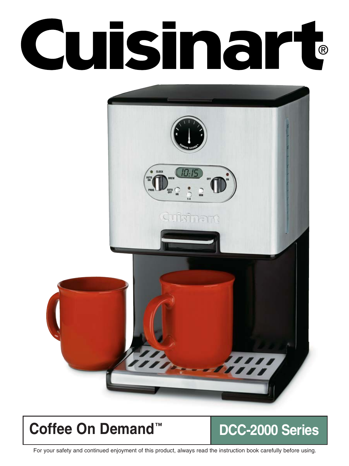# Cuisinart



# **Coffee On Demand™ DCC-2000 Series**

For your safety and continued enjoyment of this product, always read the instruction book carefully before using.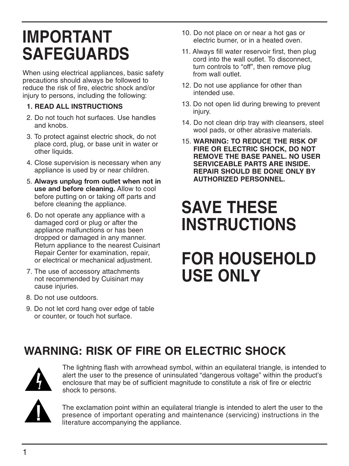# **IMPORTANT SAFEGUARDS**

When using electrical appliances, basic safety precautions should always be followed to reduce the risk of fire, electric shock and/or injury to persons, including the following:

#### **1. READ ALL INSTRUCTIONS**

- 2. Do not touch hot surfaces. Use handles and knobs.
- 3. To protect against electric shock, do not place cord, plug, or base unit in water or other liquids.
- 4. Close supervision is necessary when any appliance is used by or near children.
- 5. **Always unplug from outlet when not in use and before cleaning.** Allow to cool before putting on or taking off parts and before cleaning the appliance.
- 6. Do not operate any appliance with a damaged cord or plug or after the appliance malfunctions or has been dropped or damaged in any manner. Return appliance to the nearest Cuisinart Repair Center for examination, repair, or electrical or mechanical adjustment.
- 7. The use of accessory attachments not recommended by Cuisinart may cause injuries.
- 8. Do not use outdoors.
- 9. Do not let cord hang over edge of table or counter, or touch hot surface.
- 10. Do not place on or near a hot gas or electric burner, or in a heated oven.
- 11. Always fill water reservoir first, then plug cord into the wall outlet. To disconnect, turn controls to "off", then remove plug from wall outlet.
- 12. Do not use appliance for other than intended use.
- 13. Do not open lid during brewing to prevent injury.
- 14. Do not clean drip tray with cleansers, steel wool pads, or other abrasive materials.
- 15. **WARNING: TO REDUCE THE RISK OF FIRE OR ELECTRIC SHOCK, DO NOT REMOVE THE BASE PANEL. NO USER SERVICEABLE PARTS ARE INSIDE. REPAIR SHOULD BE DONE ONLY BY AUTHORIZED PERSONNEL.**

# **SAVE THESE INSTRUCTIONS**

# **FOR HOUSEHOLD USE ONLY**

# **WARNING: RISK OF FIRE OR ELECTRIC SHOCK**



The lightning flash with arrowhead symbol, within an equilateral triangle, is intended to alert the user to the presence of uninsulated "dangerous voltage" within the product's enclosure that may be of sufficient magnitude to constitute a risk of fire or electric shock to persons.



The exclamation point within an equilateral triangle is intended to alert the user to the presence of important operating and maintenance (servicing) instructions in the literature accompanying the appliance.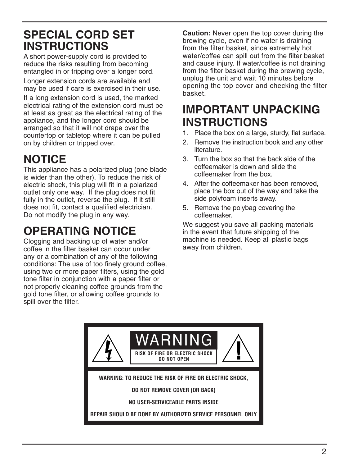## **SPECIAL CORD SET INSTRUCTIONS**

A short power-supply cord is provided to reduce the risks resulting from becoming entangled in or tripping over a longer cord. Longer extension cords are available and may be used if care is exercised in their use.

If a long extension cord is used, the marked electrical rating of the extension cord must be at least as great as the electrical rating of the appliance, and the longer cord should be arranged so that it will not drape over the countertop or tabletop where it can be pulled on by children or tripped over.

# **NOTICE**

This appliance has a polarized plug (one blade is wider than the other). To reduce the risk of electric shock, this plug will fit in a polarized outlet only one way. If the plug does not fit fully in the outlet, reverse the plug. If it still does not fit, contact a qualified electrician. Do not modify the plug in any way.

# **OPERATING NOTICE**

Clogging and backing up of water and/or coffee in the filter basket can occur under any or a combination of any of the following conditions: The use of too finely ground coffee, using two or more paper filters, using the gold tone filter in conjunction with a paper filter or not properly cleaning coffee grounds from the gold tone filter, or allowing coffee grounds to spill over the filter.

**Caution:** Never open the top cover during the brewing cycle, even if no water is draining from the filter basket, since extremely hot water/coffee can spill out from the filter basket and cause injury. If water/coffee is not draining from the filter basket during the brewing cycle, unplug the unit and wait 10 minutes before opening the top cover and checking the filter basket.

## **IMPORTANT UNPACKING INSTRUCTIONS**

- 1. Place the box on a large, sturdy, flat surface.
- 2. Remove the instruction book and any other literature.
- 3. Turn the box so that the back side of the coffeemaker is down and slide the coffeemaker from the box.
- 4. After the coffeemaker has been removed, place the box out of the way and take the side polyfoam inserts away.
- 5. Remove the polybag covering the coffeemaker.

We suggest you save all packing materials in the event that future shipping of the machine is needed. Keep all plastic bags away from children.

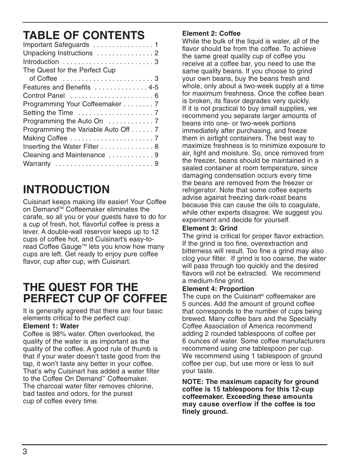# **TABLE OF CONTENTS**

| Unpacking Instructions  2           |
|-------------------------------------|
|                                     |
| The Quest for the Perfect Cup       |
|                                     |
| Features and Benefits  4-5          |
|                                     |
| Programming Your Coffeemaker 7      |
|                                     |
|                                     |
| Programming the Variable Auto Off 7 |
|                                     |
| Inserting the Water Filter  8       |
| Cleaning and Maintenance  9         |
| Warranty 9                          |

# **INTRODUCTION**

Cuisinart keeps making life easier! Your Coffee on Demand™ Coffeemaker eliminates the carafe, so all you or your guests have to do for a cup of fresh, hot, flavorful coffee is press a lever. A double-wall reservoir keeps up to 12 cups of coffee hot, and Cuisinart's easy-toread Coffee Gauge™ lets you know how many cups are left. Get ready to enjoy pure coffee flavor, cup after cup, with Cuisinart.

## **THE QUEST FOR THE PERFECT CUP OF COFFEE**

It is generally agreed that there are four basic elements critical to the perfect cup:

#### **Element 1: Water**

Coffee is 98% water. Often overlooked, the quality of the water is as important as the quality of the coffee. A good rule of thumb is that if your water doesn't taste good from the tap, it won't taste any better in your coffee. That's why Cuisinart has added a water filter to the Coffee On Demand™ Coffeemaker. The charcoal water filter removes chlorine, bad tastes and odors, for the purest cup of coffee every time.

#### **Element 2: Coffee**

While the bulk of the liquid is water, all of the flavor should be from the coffee. To achieve the same great quality cup of coffee you receive at a coffee bar, you need to use the same quality beans. If you choose to grind your own beans, buy the beans fresh and whole, only about a two-week supply at a time for maximum freshness. Once the coffee bean is broken, its flavor degrades very quickly. If it is not practical to buy small supplies, we recommend you separate larger amounts of beans into one- or two-week portions immediately after purchasing, and freeze them in airtight containers. The best way to maximize freshness is to minimize exposure to air, light and moisture. So, once removed from the freezer, beans should be maintained in a sealed container at room temperature, since damaging condensation occurs every time the beans are removed from the freezer or refrigerator. Note that some coffee experts advise against freezing dark-roast beans because this can cause the oils to coagulate, while other experts disagree. We suggest you experiment and decide for yourself.

#### **Element 3: Grind**

The grind is critical for proper flavor extraction. If the grind is too fine, overextraction and bitterness will result. Too fine a grind may also clog your filter. If grind is too coarse, the water will pass through too quickly and the desired flavors will not be extracted. We recommend a medium-fine grind.

#### **Element 4: Proportion**

The cups on the Cuisinart® coffeemaker are 5 ounces. Add the amount of ground coffee that corresponds to the number of cups being brewed. Many coffee bars and the Specialty Coffee Association of America recommend adding 2 rounded tablespoons of coffee per 6 ounces of water. Some coffee manufacturers recommend using one tablespoon per cup. We recommend using 1 tablespoon of ground coffee per cup, but use more or less to suit your taste.

**NOTE: The maximum capacity for ground coffee is 15 tablespoons for this 12-cup coffeemaker. Exceeding these amounts may cause overflow if the coffee is too finely ground.**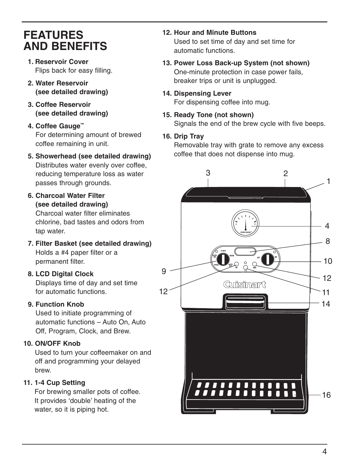## **FEATURES AND BENEFITS**

- **1. Reservoir Cover** Flips back for easy filling.
- **2. Water Reservoir (see detailed drawing)**
- **3. Coffee Reservoir (see detailed drawing)**
- **4. Coffee Gauge™** For determining amount of brewed coffee remaining in unit.
- **5. Showerhead (see detailed drawing)** Distributes water evenly over coffee, reducing temperature loss as water passes through grounds.
- **6. Charcoal Water Filter (see detailed drawing)** Charcoal water filter eliminates chlorine, bad tastes and odors from tap water.
- **7. Filter Basket (see detailed drawing)** Holds a #4 paper filter or a permanent filter.
- **8. LCD Digital Clock**

Displays time of day and set time for automatic functions.

#### **9. Function Knob**

Used to initiate programming of automatic functions – Auto On, Auto Off, Program, Clock, and Brew.

#### **10. ON/OFF Knob**

Used to turn your coffeemaker on and off and programming your delayed brew.

#### **11. 1-4 Cup Setting**

For brewing smaller pots of coffee. It provides 'double' heating of the water, so it is piping hot.

- **12. Hour and Minute Buttons** Used to set time of day and set time for automatic functions.
- **13. Power Loss Back-up System (not shown)** One-minute protection in case power fails, breaker trips or unit is unplugged.
- **14. Dispensing Lever** For dispensing coffee into mug.
- **15. Ready Tone (not shown)** Signals the end of the brew cycle with five beeps.

#### **16. Drip Tray**

Removable tray with grate to remove any excess coffee that does not dispense into mug.

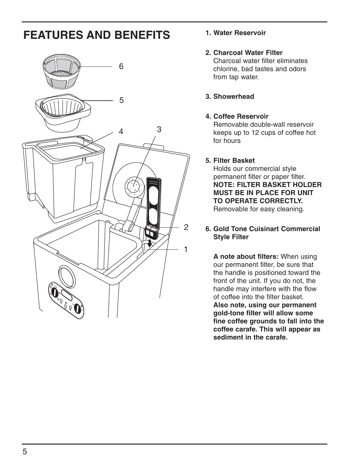# **FEATURES AND BENEFITS**



#### **1. Water Reservoir**

#### **2. Charcoal Water Filter**

Charcoal water filter eliminates chlorine, bad tastes and odors from tap water.

#### **3. Showerhead**

#### **4. Coffee Reservoir**

Removable double-wall reservoir keeps up to 12 cups of coffee hot for hours

#### **5. Filter Basket**

Holds our commercial style permanent filter or paper filter. **NOTE: FILTER BASKET HOLDER MUST BE IN PLACE FOR UNIT TO OPERATE CORRECTLY.**  Removable for easy cleaning.

#### **6. Gold Tone Cuisinart Commercial Style Filter**

**A note about filters:** When using our permanent filter, be sure that the handle is positioned toward the front of the unit. If you do not, the handle may interfere with the flow of coffee into the filter basket. **Also note, using our permanent gold-tone filter will allow some fine coffee grounds to fall into the coffee carafe. This will appear as sediment in the carafe.**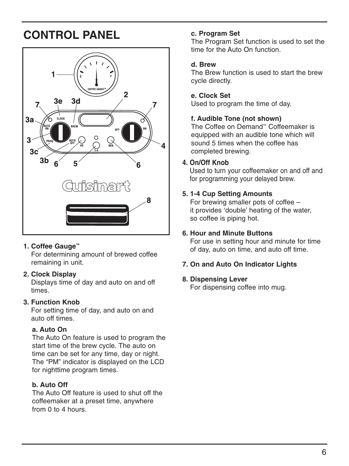# **CONTROL PANEL**



#### **1. Coffee Gauge™**

For determining amount of brewed coffee remaining in unit.

#### **2. Clock Display**

Displays time of day and auto on and off times.

#### **3. Function Knob**

For setting time of day, and auto on and auto off times.

#### **a. Auto On**

The Auto On feature is used to program the start time of the brew cycle. The auto on time can be set for any time, day or night. The "PM" indicator is displayed on the LCD for nighttime program times.

#### **b. Auto Off**

The Auto Off feature is used to shut off the coffeemaker at a preset time, anywhere from 0 to 4 hours.

#### **c. Program Set**

The Program Set function is used to set the time for the Auto On function.

#### **d. Brew**

The Brew function is used to start the brew cycle directly.

#### **e. Clock Set**

Used to program the time of day.

#### **f. Audible Tone (not shown)**

The Coffee on Demand™ Coffeemaker is equipped with an audible tone which will sound 5 times when the coffee has completed brewing.

#### **4. On/Off Knob**

Used to turn your coffeemaker on and off and for programming your delayed brew.

#### **5. 1-4 Cup Setting Amounts**

For brewing smaller pots of coffee – it provides 'double' heating of the water, so coffee is piping hot.

#### **6. Hour and Minute Buttons**

For use in setting hour and minute for time of day, auto on time, and auto off time.

#### **7. On and Auto On Indicator Lights**

#### **8. Dispensing Lever**

For dispensing coffee into mug.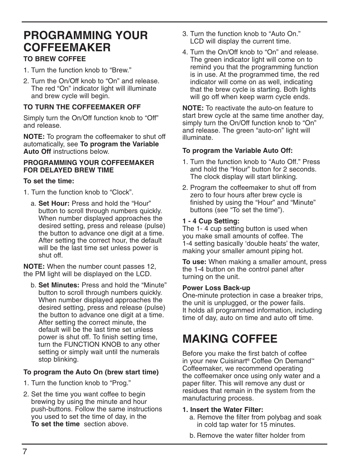### **PROGRAMMING YOUR COFFEEMAKER TO BREW COFFEE**

- 1. Turn the function knob to "Brew."
- 2. Turn the On/Off knob to "On" and release. The red "On" indicator light will illuminate and brew cycle will begin.

#### **TO TURN THE COFFEEMAKER OFF**

Simply turn the On/Off function knob to "Off" and release.

**NOTE:** To program the coffeemaker to shut off automatically, see **To program the Variable Auto Off** instructions below.

#### **PROGRAMMING YOUR COFFEEMAKER FOR DELAYED BREW TIME**

#### **To set the time:**

- 1. Turn the function knob to "Clock".
	- a. **Set Hour:** Press and hold the "Hour" button to scroll through numbers quickly. When number displayed approaches the desired setting, press and release (pulse) the button to advance one digit at a time. After setting the correct hour, the default will be the last time set unless power is shut off.

**NOTE:** When the number count passes 12, the PM light will be displayed on the LCD.

b. **Set Minutes:** Press and hold the "Minute" button to scroll through numbers quickly. When number displayed approaches the desired setting, press and release (pulse) the button to advance one digit at a time. After setting the correct minute, the default will be the last time set unless power is shut off. To finish setting time, turn the FUNCTION KNOB to any other setting or simply wait until the numerals stop blinking.

#### **To program the Auto On (brew start time)**

- 1. Turn the function knob to "Prog."
- 2. Set the time you want coffee to begin brewing by using the minute and hour push-buttons. Follow the same instructions you used to set the time of day, in the **To set the time** section above.
- 3. Turn the function knob to "Auto On." LCD will display the current time.
- 4. Turn the On/Off knob to "On" and release. The green indicator light will come on to remind you that the programming function is in use. At the programmed time, the red indicator will come on as well, indicating that the brew cycle is starting. Both lights will go off when keep warm cycle ends.

**NOTE:** To reactivate the auto-on feature to start brew cycle at the same time another day, simply turn the On/Off function knob to "On" and release. The green "auto-on" light will illuminate.

#### **To program the Variable Auto Off:**

- 1. Turn the function knob to "Auto Off." Press and hold the "Hour" button for 2 seconds. The clock display will start blinking.
- 2. Program the coffeemaker to shut off from zero to four hours after brew cycle is finished by using the "Hour" and "Minute" buttons (see "To set the time").

#### **1 - 4 Cup Setting:**

The 1- 4 cup setting button is used when you make small amounts of coffee. The 1-4 setting basically 'double heats' the water, making your smaller amount piping hot.

**To use:** When making a smaller amount, press the 1-4 button on the control panel after turning on the unit.

#### **Power Loss Back-up**

One-minute protection in case a breaker trips, the unit is unplugged, or the power fails. It holds all programmed information, including time of day, auto on time and auto off time.

## **MAKING COFFEE**

Before you make the first batch of coffee in your new Cuisinart® Coffee On Demand™ Coffeemaker, we recommend operating the coffeemaker once using only water and a paper filter. This will remove any dust or residues that remain in the system from the manufacturing process.

#### **1. Insert the Water Filter:**

- a. Remove the filter from polybag and soak in cold tap water for 15 minutes.
- b. Remove the water filter holder from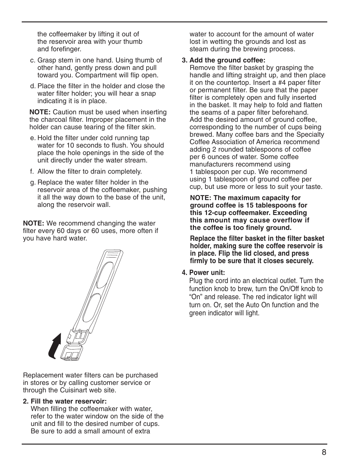the coffeemaker by lifting it out of the reservoir area with your thumb and forefinger.

- c. Grasp stem in one hand. Using thumb of other hand, gently press down and pull toward you. Compartment will flip open.
- d. Place the filter in the holder and close the water filter holder; you will hear a snap indicating it is in place.

**NOTE:** Caution must be used when inserting the charcoal filter. Improper placement in the holder can cause tearing of the filter skin.

- e. Hold the filter under cold running tap water for 10 seconds to flush. You should place the hole openings in the side of the unit directly under the water stream.
- f. Allow the filter to drain completely.
- g. Replace the water filter holder in the reservoir area of the coffeemaker, pushing it all the way down to the base of the unit, along the reservoir wall.

**NOTE:** We recommend changing the water filter every 60 days or 60 uses, more often if you have hard water.



Replacement water filters can be purchased in stores or by calling customer service or through the Cuisinart web site.

#### **2. Fill the water reservoir:**

When filling the coffeemaker with water, refer to the water window on the side of the unit and fill to the desired number of cups. Be sure to add a small amount of extra

water to account for the amount of water lost in wetting the grounds and lost as steam during the brewing process.

#### **3. Add the ground coffee:**

Remove the filter basket by grasping the handle and lifting straight up, and then place it on the countertop. Insert a #4 paper filter or permanent filter. Be sure that the paper filter is completely open and fully inserted in the basket. It may help to fold and flatten the seams of a paper filter beforehand. Add the desired amount of ground coffee. corresponding to the number of cups being brewed. Many coffee bars and the Specialty Coffee Association of America recommend adding 2 rounded tablespoons of coffee per 6 ounces of water. Some coffee manufacturers recommend using 1 tablespoon per cup. We recommend using 1 tablespoon of ground coffee per cup, but use more or less to suit your taste.

#### **NOTE: The maximum capacity for ground coffee is 15 tablespoons for this 12-cup coffeemaker. Exceeding this amount may cause overflow if the coffee is too finely ground.**

**Replace the filter basket in the filter basket holder, making sure the coffee reservoir is in place. Flip the lid closed, and press firmly to be sure that it closes securely.** 

#### **4. Power unit:**

Plug the cord into an electrical outlet. Turn the function knob to brew, turn the On/Off knob to "On" and release. The red indicator light will turn on. Or, set the Auto On function and the green indicator will light.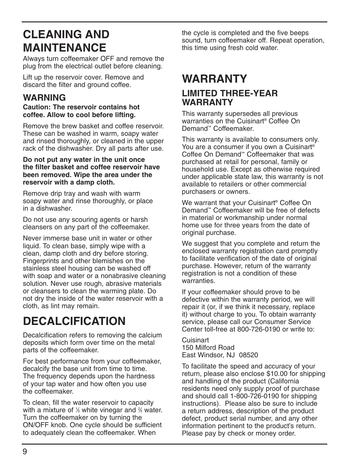# **CLEANING AND MAINTENANCE**

Always turn coffeemaker OFF and remove the plug from the electrical outlet before cleaning.

Lift up the reservoir cover. Remove and discard the filter and ground coffee.

#### **WARNING**

#### **Caution: The reservoir contains hot coffee. Allow to cool before lifting.**

Remove the brew basket and coffee reservoir. These can be washed in warm, soapy water and rinsed thoroughly, or cleaned in the upper rack of the dishwasher. Dry all parts after use.

#### **Do not put any water in the unit once the filter basket and coffee reservoir have been removed. Wipe the area under the reservoir with a damp cloth.**

Remove drip tray and wash with warm soapy water and rinse thoroughly, or place in a dishwasher.

Do not use any scouring agents or harsh cleansers on any part of the coffeemaker.

Never immerse base unit in water or other liquid. To clean base, simply wipe with a clean, damp cloth and dry before storing. Fingerprints and other blemishes on the stainless steel housing can be washed off with soap and water or a nonabrasive cleaning solution. Never use rough, abrasive materials or cleansers to clean the warming plate. Do not dry the inside of the water reservoir with a cloth, as lint may remain.

# **DECALCIFICATION**

Decalcification refers to removing the calcium deposits which form over time on the metal parts of the coffeemaker.

For best performance from your coffeemaker, decalcify the base unit from time to time. The frequency depends upon the hardness of your tap water and how often you use the coffeemaker.

To clean, fill the water reservoir to capacity with a mixture of % white vinegar and % water. Turn the coffeemaker on by turning the ON/OFF knob. One cycle should be sufficient to adequately clean the coffeemaker. When

the cycle is completed and the five beeps sound, turn coffeemaker off. Repeat operation, this time using fresh cold water.

## **WARRANTY LIMITED THREE-YEAR WARRANTY**

This warranty supersedes all previous warranties on the Cuisinart® Coffee On Demand™ Coffeemaker.

This warranty is available to consumers only. You are a consumer if you own a Cuisinart<sup>®</sup> Coffee On Demand™ Coffeemaker that was purchased at retail for personal, family or household use. Except as otherwise required under applicable state law, this warranty is not available to retailers or other commercial purchasers or owners.

We warrant that your Cuisinart® Coffee On Demand™ Coffeemaker will be free of defects in material or workmanship under normal home use for three years from the date of original purchase.

We suggest that you complete and return the enclosed warranty registration card promptly to facilitate verification of the date of original purchase. However, return of the warranty registration is not a condition of these warranties.

If your coffeemaker should prove to be defective within the warranty period, we will repair it (or, if we think it necessary, replace it) without charge to you. To obtain warranty service, please call our Consumer Service Center toll-free at 800-726-0190 or write to:

Cuisinart 150 Milford Road East Windsor, NJ 08520

To facilitate the speed and accuracy of your return, please also enclose \$10.00 for shipping and handling of the product (California residents need only supply proof of purchase and should call 1-800-726-0190 for shipping instructions). Please also be sure to include a return address, description of the product defect, product serial number, and any other information pertinent to the product's return. Please pay by check or money order.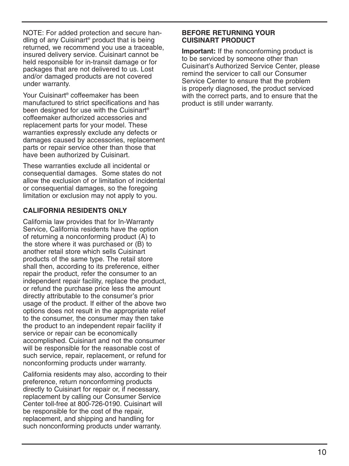NOTE: For added protection and secure handling of any Cuisinart® product that is being returned, we recommend you use a traceable, insured delivery service. Cuisinart cannot be held responsible for in-transit damage or for packages that are not delivered to us. Lost and/or damaged products are not covered under warranty.

Your Cuisinart® coffeemaker has been manufactured to strict specifications and has been designed for use with the Cuisinart® coffeemaker authorized accessories and replacement parts for your model. These warranties expressly exclude any defects or damages caused by accessories, replacement parts or repair service other than those that have been authorized by Cuisinart.

These warranties exclude all incidental or consequential damages. Some states do not allow the exclusion of or limitation of incidental or consequential damages, so the foregoing limitation or exclusion may not apply to you.

#### **CALIFORNIA RESIDENTS ONLY**

California law provides that for In-Warranty Service, California residents have the option of returning a nonconforming product (A) to the store where it was purchased or (B) to another retail store which sells Cuisinart products of the same type. The retail store shall then, according to its preference, either repair the product, refer the consumer to an independent repair facility, replace the product, or refund the purchase price less the amount directly attributable to the consumer's prior usage of the product. If either of the above two options does not result in the appropriate relief to the consumer, the consumer may then take the product to an independent repair facility if service or repair can be economically accomplished. Cuisinart and not the consumer will be responsible for the reasonable cost of such service, repair, replacement, or refund for nonconforming products under warranty.

California residents may also, according to their preference, return nonconforming products directly to Cuisinart for repair or, if necessary, replacement by calling our Consumer Service Center toll-free at 800-726-0190. Cuisinart will be responsible for the cost of the repair, replacement, and shipping and handling for such nonconforming products under warranty.

#### **BEFORE RETURNING YOUR CUISINART PRODUCT**

**Important:** If the nonconforming product is to be serviced by someone other than Cuisinart's Authorized Service Center, please remind the servicer to call our Consumer Service Center to ensure that the problem is properly diagnosed, the product serviced with the correct parts, and to ensure that the product is still under warranty.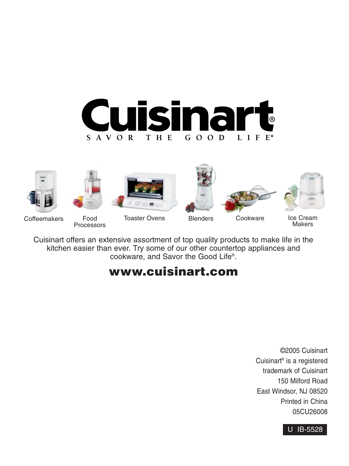













Coffeemakers Food

Processors

Toaster Ovens Blenders Cookware Ice Cream

Makers

Cuisinart offers an extensive assortment of top quality products to make life in the kitchen easier than ever. Try some of our other countertop appliances and cookware, and Savor the Good Life®.

## **www.cuisinart.com**

©2005 Cuisinart Cuisinart® is a registered trademark of Cuisinart 150 Milford Road East Windsor, NJ 08520 Printed in China 05CU26008